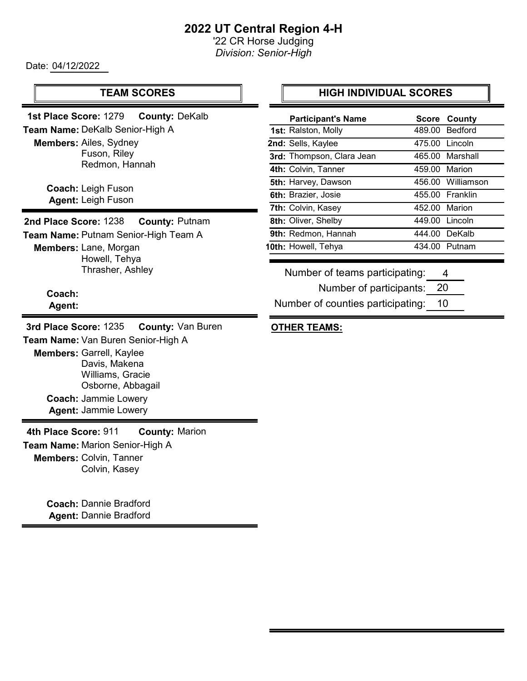# 2022 UT Central Region 4-H

'22 CR Horse Judging Division: Senior-High

Date: 04/12/2022

#### TEAM SCORES

Members: Ailes, Sydney Fuson, Riley Redmon, Hannah 1st Place Score: 1279 County: DeKalb Team Name: DeKalb Senior-High A

> Coach: Leigh Fuson Agent: Leigh Fuson

2nd Place Score: 1238 County: Putnam Team Name: Putnam Senior-High Team A

Members: Lane, Morgan Howell, Tehya Thrasher, Ashley

> Coach: Agent:

Members: Garrell, Kaylee Davis, Makena Williams, Gracie Osborne, Abbagail Coach: Jammie Lowery Agent: Jammie Lowery 3rd Place Score: 1235 County: Van Buren Team Name: Van Buren Senior-High A

Members: Colvin, Tanner Colvin, Kasey 4th Place Score: 911 County: Marion Team Name: Marion Senior-High A

> Coach: Dannie Bradford Agent: Dannie Bradford

#### HIGH INDIVIDUAL SCORES

| <b>Participant's Name</b> |                | <b>Score County</b> |
|---------------------------|----------------|---------------------|
| 1st: Ralston, Molly       |                | 489.00 Bedford      |
| 2nd: Sells, Kaylee        |                | 475.00 Lincoln      |
| 3rd: Thompson, Clara Jean |                | 465.00 Marshall     |
| 4th: Colvin, Tanner       | 459.00 Marion  |                     |
| 5th: Harvey, Dawson       |                | 456.00 Williamson   |
| 6th: Brazier, Josie       |                | 455.00 Franklin     |
| 7th: Colvin, Kasey        | 452.00 Marion  |                     |
| 8th: Oliver, Shelby       | 449.00 Lincoln |                     |
| 9th: Redmon, Hannah       |                | 444.00 DeKalb       |
| 10th: Howell, Tehya       |                | 434.00 Putnam       |
|                           |                |                     |

Number of teams participating: 4

> Number of participants: 20

Number of counties participating: 10

#### OTHER TEAMS: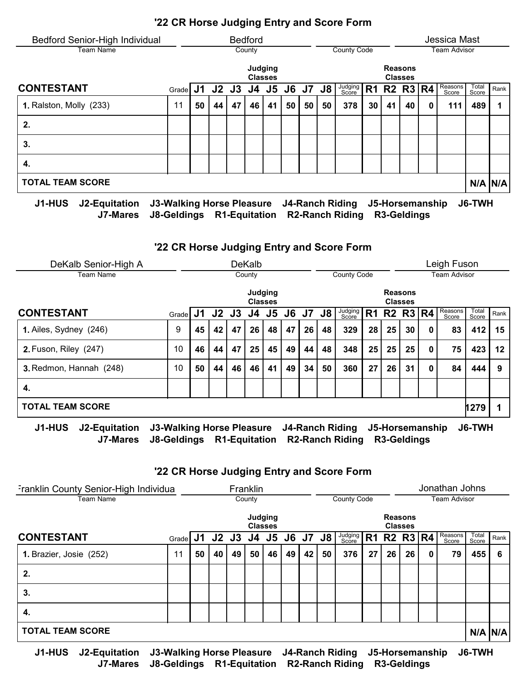| Bedford Senior-High Individual |       |    |                      |    | <b>Bedford</b> |                           |    |    |    |                    |           |    |                                  | Jessica Mast     |                |             |
|--------------------------------|-------|----|----------------------|----|----------------|---------------------------|----|----|----|--------------------|-----------|----|----------------------------------|------------------|----------------|-------------|
| Team Name                      |       |    |                      |    | County         |                           |    |    |    | <b>County Code</b> |           |    |                                  | Team Advisor     |                |             |
|                                |       |    |                      |    |                | Judging<br><b>Classes</b> |    |    |    |                    |           |    | <b>Reasons</b><br><b>Classes</b> |                  |                |             |
| <b>CONTESTANT</b>              | Grade |    | J1 J2 J3 J4 J5 J6 J7 |    |                |                           |    |    | J8 | Judging<br>Score   | <b>R1</b> |    | R2 R3 $ R4$                      | Reasons<br>Score | Total<br>Score | Rank        |
| 1. Ralston, Molly (233)        | 11    | 50 | 44                   | 47 | 46             | 41                        | 50 | 50 | 50 | 378                | 30        | 41 | 40                               | 111              | 489            |             |
| 2.                             |       |    |                      |    |                |                           |    |    |    |                    |           |    |                                  |                  |                |             |
| 3.                             |       |    |                      |    |                |                           |    |    |    |                    |           |    |                                  |                  |                |             |
| 4.                             |       |    |                      |    |                |                           |    |    |    |                    |           |    |                                  |                  |                |             |
| <b>TOTAL TEAM SCORE</b>        |       |    |                      |    |                |                           |    |    |    |                    |           |    |                                  |                  |                | $N/A$ $N/A$ |
|                                |       |    |                      |    |                |                           |    |    |    |                    |           |    |                                  |                  |                |             |

J1-HUS J2-Equitation J3-Walking Horse Pleasure J4-Ranch Riding J5-Horsemanship J6-TWH J7-Mares J8-Geldings R1-Equitation R2-Ranch Riding R3-Geldings

#### '22 CR Horse Judging Entry and Score Form

| DeKalb Senior-High A         |                           |    |           |    | <b>DeKalb</b> |                           |    |    |    |                        |    |    |                                  |   | Leigh Fuson         |                |      |
|------------------------------|---------------------------|----|-----------|----|---------------|---------------------------|----|----|----|------------------------|----|----|----------------------------------|---|---------------------|----------------|------|
| Team Name                    |                           |    |           |    | County        |                           |    |    |    | County Code            |    |    |                                  |   | <b>Team Advisor</b> |                |      |
|                              |                           |    |           |    |               | Judging<br><b>Classes</b> |    |    |    |                        |    |    | <b>Reasons</b><br><b>Classes</b> |   |                     |                |      |
| <b>CONTESTANT</b>            | Grade                     | J1 | $J2$ $J3$ |    | J4            | J <sub>5</sub>            | J6 | J7 | J8 | Judging<br>Score       | R1 |    | R2 R3 $ R4$                      |   | Reasons<br>Score    | Total<br>Score | Rank |
| 1. Ailes, Sydney (246)       | 9                         | 45 | 42        | 47 | 26            | 48                        | 47 | 26 | 48 | 329                    | 28 | 25 | 30                               | 0 | 83                  | 412            | 15   |
| <b>2. Fuson, Riley (247)</b> | 10                        | 46 | 44        | 47 | 25            | 45                        | 49 | 44 | 48 | 348                    | 25 | 25 | 25                               | 0 | 75                  | 423            | 12   |
| 3. Redmon, Hannah (248)      | 10                        | 50 | 44        | 46 | 46            | 41                        | 49 | 34 | 50 | 360                    | 27 | 26 | 31                               | 0 | 84                  | 444            | 9    |
| 4.                           |                           |    |           |    |               |                           |    |    |    |                        |    |    |                                  |   |                     |                |      |
| <b>TOTAL TEAM SCORE</b>      |                           |    |           |    |               |                           |    |    |    |                        |    |    |                                  |   |                     | 1279           | 1    |
| 14 LII 10<br>12 Equitation   | 12 Walking Horeo Diogeuro |    |           |    |               |                           |    |    |    | <b>IA Danch Diding</b> |    |    | IE Horeomanehin                  |   |                     | IG_TWL         |      |

J1-HUS J2-Equitation J3-Walking Horse Pleasure J4-Ranch Riding J5-Horsemanship J6-TWH J7-Mares J8-Geldings R1-Equitation R2-Ranch Riding R3-Geldings

## '22 CR Horse Judging Entry and Score Form

| Franklin County Senior-High Individua |                               |    |    |    | Franklin       |         |    |    |    |                  |                |    |                                  |   | Jonathan Johns      |                |             |
|---------------------------------------|-------------------------------|----|----|----|----------------|---------|----|----|----|------------------|----------------|----|----------------------------------|---|---------------------|----------------|-------------|
| Team Name                             |                               |    |    |    | County         |         |    |    |    | County Code      |                |    |                                  |   | <b>Team Advisor</b> |                |             |
|                                       |                               |    |    |    | <b>Classes</b> | Judging |    |    |    |                  |                |    | <b>Reasons</b><br><b>Classes</b> |   |                     |                |             |
| <b>CONTESTANT</b>                     | Grade J1 J2 J3 J4 J5 J6 J7 J8 |    |    |    |                |         |    |    |    | Judging<br>Score | R <sub>1</sub> |    | R2 R3 $R4$                       |   | Reasons<br>Score    | Total<br>Score | Rank        |
| 1. Brazier, Josie (252)               | 11                            | 50 | 40 | 49 | 50             | 46      | 49 | 42 | 50 | 376              | 27             | 26 | 26                               | 0 | 79                  | 455            | 6           |
| 2.                                    |                               |    |    |    |                |         |    |    |    |                  |                |    |                                  |   |                     |                |             |
| 3.                                    |                               |    |    |    |                |         |    |    |    |                  |                |    |                                  |   |                     |                |             |
| 4.                                    |                               |    |    |    |                |         |    |    |    |                  |                |    |                                  |   |                     |                |             |
| <b>TOTAL TEAM SCORE</b>               |                               |    |    |    |                |         |    |    |    |                  |                |    |                                  |   |                     |                | $N/A$ $N/A$ |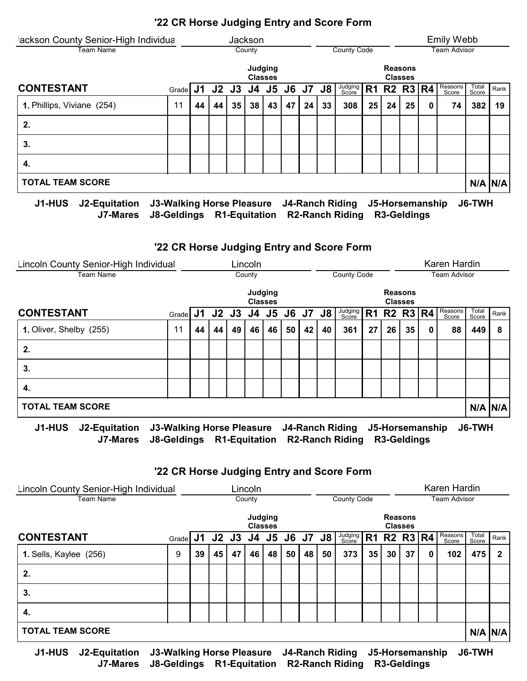| lackson County Senior-High Individua                 |                                                                                                                                                                                                                                                                                                                                    |    |    |    | Jackson |                           |    |    |    |                                                         |                |    |                                  |   | <b>Emily Webb</b>   |                |             |
|------------------------------------------------------|------------------------------------------------------------------------------------------------------------------------------------------------------------------------------------------------------------------------------------------------------------------------------------------------------------------------------------|----|----|----|---------|---------------------------|----|----|----|---------------------------------------------------------|----------------|----|----------------------------------|---|---------------------|----------------|-------------|
| Team Name                                            |                                                                                                                                                                                                                                                                                                                                    |    |    |    | County  |                           |    |    |    | County Code                                             |                |    |                                  |   | <b>Team Advisor</b> |                |             |
|                                                      |                                                                                                                                                                                                                                                                                                                                    |    |    |    |         | Judging<br><b>Classes</b> |    |    |    |                                                         |                |    | <b>Reasons</b><br><b>Classes</b> |   |                     |                |             |
| <b>CONTESTANT</b>                                    | Grade J1 J2 J3 J4 J5 J6 J7 J8                                                                                                                                                                                                                                                                                                      |    |    |    |         |                           |    |    |    | Judging<br>Score                                        | R <sub>1</sub> |    | R2 R3  R4                        |   | Reasons<br>Score    | Total<br>Score | Rank        |
| 1. Phillips, Viviane (254)                           | 11                                                                                                                                                                                                                                                                                                                                 | 44 | 44 | 35 | 38      | 43                        | 47 | 24 | 33 | 308                                                     | 25             | 24 | 25                               | 0 | 74                  | 382            | 19          |
| 2.                                                   |                                                                                                                                                                                                                                                                                                                                    |    |    |    |         |                           |    |    |    |                                                         |                |    |                                  |   |                     |                |             |
| 3.                                                   |                                                                                                                                                                                                                                                                                                                                    |    |    |    |         |                           |    |    |    |                                                         |                |    |                                  |   |                     |                |             |
| 4.                                                   |                                                                                                                                                                                                                                                                                                                                    |    |    |    |         |                           |    |    |    |                                                         |                |    |                                  |   |                     |                |             |
| <b>TOTAL TEAM SCORE</b>                              |                                                                                                                                                                                                                                                                                                                                    |    |    |    |         |                           |    |    |    |                                                         |                |    |                                  |   |                     |                | $N/A$ $N/A$ |
| 14. LULA<br>$\mathbf{A}$ . The state of $\mathbf{A}$ | $\mathbf{A}$ $\mathbf{A}$ $\mathbf{B}$ $\mathbf{B}$ $\mathbf{B}$ $\mathbf{B}$ $\mathbf{B}$ $\mathbf{B}$ $\mathbf{B}$ $\mathbf{B}$ $\mathbf{B}$ $\mathbf{B}$ $\mathbf{B}$ $\mathbf{B}$ $\mathbf{B}$ $\mathbf{B}$ $\mathbf{B}$ $\mathbf{B}$ $\mathbf{B}$ $\mathbf{B}$ $\mathbf{B}$ $\mathbf{B}$ $\mathbf{B}$ $\mathbf{B}$ $\mathbf{$ |    |    |    |         |                           |    |    |    | $\mathbf{r}$ . $\mathbf{r}$ . The state of $\mathbf{r}$ |                |    |                                  |   |                     | $107 - 1111$   |             |

J1-HUS J2-Equitation J3-Walking Horse Pleasure J4-Ranch Riding J5-Horsemanship J6-TWH J7-Mares J8-Geldings R1-Equitation R2-Ranch Riding R3-Geldings

## '22 CR Horse Judging Entry and Score Form

| Lincoln County Senior-High Individual |                                  |    |                |    |        |                           |    |                 | Karen Hardin |                        |                |                 |                                              |   |                     |                |             |
|---------------------------------------|----------------------------------|----|----------------|----|--------|---------------------------|----|-----------------|--------------|------------------------|----------------|-----------------|----------------------------------------------|---|---------------------|----------------|-------------|
| Team Name                             |                                  |    |                |    | County |                           |    |                 |              | <b>County Code</b>     |                |                 |                                              |   | <b>Team Advisor</b> |                |             |
|                                       |                                  |    |                |    |        | Judging<br><b>Classes</b> |    |                 |              |                        |                |                 | <b>Reasons</b><br><b>Classes</b>             |   |                     |                |             |
| <b>CONTESTANT</b>                     | Grade                            |    | J1 J2 J3 J4 J5 |    |        |                           |    | <b>J6 J7 J8</b> |              | Judging<br>Score       | R <sub>1</sub> |                 | R <sub>2</sub> R <sub>3</sub> R <sub>4</sub> |   | Reasons<br>Score    | Total<br>Score | Rank        |
| 1. Oliver, Shelby (255)               | 11                               | 44 | 44             | 49 | 46     | 46                        | 50 | 42              | 40           | 361                    | 27             | 26              | 35                                           | 0 | 88                  | 449            | 8           |
| 2.                                    |                                  |    |                |    |        |                           |    |                 |              |                        |                |                 |                                              |   |                     |                |             |
| 3.                                    |                                  |    |                |    |        |                           |    |                 |              |                        |                |                 |                                              |   |                     |                |             |
| 4.                                    |                                  |    |                |    |        |                           |    |                 |              |                        |                |                 |                                              |   |                     |                |             |
| <b>TOTAL TEAM SCORE</b>               |                                  |    |                |    |        |                           |    |                 |              |                        |                |                 |                                              |   |                     |                | $N/A$ $N/A$ |
| J1-HUS<br>J2-Equitation               | <b>J3-Walking Horse Pleasure</b> |    |                |    |        |                           |    |                 |              | <b>J4-Ranch Riding</b> |                | J5-Horsemanship |                                              |   |                     | J6-TWH         |             |

J7-Mares J8-Geldings R1-Equitation R2-Ranch Riding R3-Geldings

## '22 CR Horse Judging Entry and Score Form

| Lincoln County Senior-High Individual |    |    | Lincoln |        |                                 |    |    |     |                                                   |                    |    |                                  | Karen Hardin |                |                                |
|---------------------------------------|----|----|---------|--------|---------------------------------|----|----|-----|---------------------------------------------------|--------------------|----|----------------------------------|--------------|----------------|--------------------------------|
|                                       |    |    |         |        |                                 |    |    |     |                                                   |                    |    |                                  |              |                |                                |
|                                       |    |    |         |        |                                 |    |    |     |                                                   |                    |    |                                  |              |                |                                |
|                                       |    |    |         |        |                                 |    |    |     | R <sub>1</sub>                                    |                    |    |                                  | Score        | Total<br>Score | Rank                           |
| 9                                     | 39 | 47 |         | 48     |                                 | 48 | 50 | 373 |                                                   | 30                 | 37 | 0                                | 102          | 475            |                                |
|                                       |    |    |         |        |                                 |    |    |     |                                                   |                    |    |                                  |              |                |                                |
|                                       |    |    |         |        |                                 |    |    |     |                                                   |                    |    |                                  |              |                |                                |
|                                       |    |    |         |        |                                 |    |    |     |                                                   |                    |    |                                  |              |                |                                |
|                                       |    |    |         |        |                                 |    |    |     |                                                   |                    |    |                                  |              |                | $N/A$ $N/A$                    |
|                                       |    |    | 45      | County | Judging<br><b>Classes</b><br>46 |    | 50 |     | Judging<br>Score<br>Grade J1 J2 J3 J4 J5 J6 J7 J8 | <b>County Code</b> | 35 | <b>Reasons</b><br><b>Classes</b> |              | $R2$ $R3$ $R4$ | <b>Team Advisor</b><br>Reasons |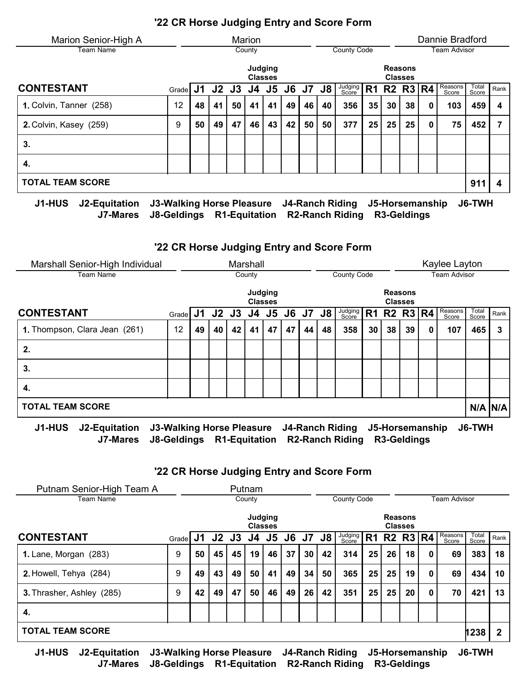| Marion Senior-High A           |                                  |    |    |          | Marion |                           |    |              |    |                        |    |    |                                  |   | Dannie Bradford     |                |      |
|--------------------------------|----------------------------------|----|----|----------|--------|---------------------------|----|--------------|----|------------------------|----|----|----------------------------------|---|---------------------|----------------|------|
| <b>Team Name</b>               |                                  |    |    |          | County |                           |    |              |    | County Code            |    |    |                                  |   | <b>Team Advisor</b> |                |      |
|                                |                                  |    |    |          |        | Judging<br><b>Classes</b> |    |              |    |                        |    |    | <b>Reasons</b><br><b>Classes</b> |   |                     |                |      |
| <b>CONTESTANT</b>              | Grade                            |    |    | J1 J2 J3 | J4     | J5                        | J6 | <b>J7 J8</b> |    | Judging<br>Score       | R1 |    | R2 R3   R4                       |   | Reasons<br>Score    | Total<br>Score | Rank |
| 1. Colvin, Tanner (258)        | 12                               | 48 | 41 | 50       | 41     | 41                        | 49 | 46           | 40 | 356                    | 35 | 30 | 38                               | 0 | 103                 | 459            | 4    |
| 2. Colvin, Kasey (259)         | 9                                | 50 | 49 | 47       | 46     | 43                        | 42 | 50           | 50 | 377                    | 25 | 25 | 25                               | 0 | 75                  | 452            | 7    |
| 3.                             |                                  |    |    |          |        |                           |    |              |    |                        |    |    |                                  |   |                     |                |      |
| 4.                             |                                  |    |    |          |        |                           |    |              |    |                        |    |    |                                  |   |                     |                |      |
| <b>TOTAL TEAM SCORE</b>        |                                  |    |    |          |        |                           |    |              |    |                        |    |    |                                  |   |                     | 911            | 4    |
| J1-HUS<br><b>J2-Equitation</b> | <b>J3-Walking Horse Pleasure</b> |    |    |          |        |                           |    |              |    | <b>J4-Ranch Riding</b> |    |    | J5-Horsemanship                  |   |                     | <b>J6-TWH</b>  |      |

J7-Mares J8-Geldings R1-Equitation R2-Ranch Riding R3-Geldings

# '22 CR Horse Judging Entry and Score Form

| Marshall Senior-High Individual |                           |    |      |    | Marshall |                           |    |                 |    |                        |    |    |                                  |   | Kaylee Layton       |                |             |
|---------------------------------|---------------------------|----|------|----|----------|---------------------------|----|-----------------|----|------------------------|----|----|----------------------------------|---|---------------------|----------------|-------------|
| Team Name                       |                           |    |      |    | County   |                           |    |                 |    | County Code            |    |    |                                  |   | <b>Team Advisor</b> |                |             |
|                                 |                           |    |      |    |          | Judging<br><b>Classes</b> |    |                 |    |                        |    |    | <b>Reasons</b><br><b>Classes</b> |   |                     |                |             |
| <b>CONTESTANT</b>               | Grade                     | J1 | J2J3 |    | J4 J5    |                           |    | <b>J6 J7 J8</b> |    | Judging<br>Score       | R1 |    | R2 R3 $R4$                       |   | Reasons<br>Score    | Total<br>Score | Rank        |
| 1. Thompson, Clara Jean (261)   | 12                        | 49 | 40   | 42 | 41       | 47                        | 47 | 44              | 48 | 358                    | 30 | 38 | 39                               | 0 | 107                 | 465            | 3           |
| 2.                              |                           |    |      |    |          |                           |    |                 |    |                        |    |    |                                  |   |                     |                |             |
| 3.                              |                           |    |      |    |          |                           |    |                 |    |                        |    |    |                                  |   |                     |                |             |
| 4.                              |                           |    |      |    |          |                           |    |                 |    |                        |    |    |                                  |   |                     |                |             |
| <b>TOTAL TEAM SCORE</b>         |                           |    |      |    |          |                           |    |                 |    |                        |    |    |                                  |   |                     |                | $N/A$ $N/A$ |
| <b>J1-HUS</b><br>J2-Equitation  | J3-Walking Horse Pleasure |    |      |    |          |                           |    |                 |    | <b>J4-Ranch Riding</b> |    |    | J5-Horsemanship                  |   |                     | J6-TWH         |             |

J7-Mares J8-Geldings R1-Equitation R2-Ranch Riding R3-Geldings

## '22 CR Horse Judging Entry and Score Form

| Putnam Senior-High Team A    |       |    |       |    | Putnam                    |       |    |          |    |                    |                |    |                                  |   |                  |                |      |
|------------------------------|-------|----|-------|----|---------------------------|-------|----|----------|----|--------------------|----------------|----|----------------------------------|---|------------------|----------------|------|
| Team Name                    |       |    |       |    | County                    |       |    |          |    | <b>County Code</b> |                |    |                                  |   | Team Advisor     |                |      |
|                              |       |    |       |    | Judging<br><b>Classes</b> |       |    |          |    |                    |                |    | <b>Reasons</b><br><b>Classes</b> |   |                  |                |      |
| CONTESTANT                   | Grade | J1 | J2 J3 |    |                           | J4 J5 |    | J6 J7 J8 |    | Judging<br>Score   | R <sub>1</sub> |    | $R2$ $R3$ $R4$                   |   | Reasons<br>Score | Total<br>Score | Rank |
| <b>1.</b> Lane, Morgan (283) | 9     | 50 | 45    | 45 | 19                        | 46    | 37 | 30       | 42 | 314                | 25             | 26 | 18                               | 0 | 69               | 383            | 18   |
| 2. Howell, Tehya (284)       | 9     | 49 | 43    | 49 | 50                        | 41    | 49 | 34       | 50 | 365                | 25             | 25 | 19                               | 0 | 69               | 434            | 10   |
| 3. Thrasher, Ashley (285)    | 9     | 42 | 49    | 47 | 50                        | 46    | 49 | 26       | 42 | 351                | 25             | 25 | 20                               | 0 | 70               | 421            | 13   |
| 4.                           |       |    |       |    |                           |       |    |          |    |                    |                |    |                                  |   |                  |                |      |
| <b>TOTAL TEAM SCORE</b>      |       |    |       |    |                           |       |    |          |    |                    |                |    |                                  |   |                  | 1238           | 2    |
|                              |       |    |       |    |                           |       |    |          |    |                    |                |    |                                  |   |                  |                |      |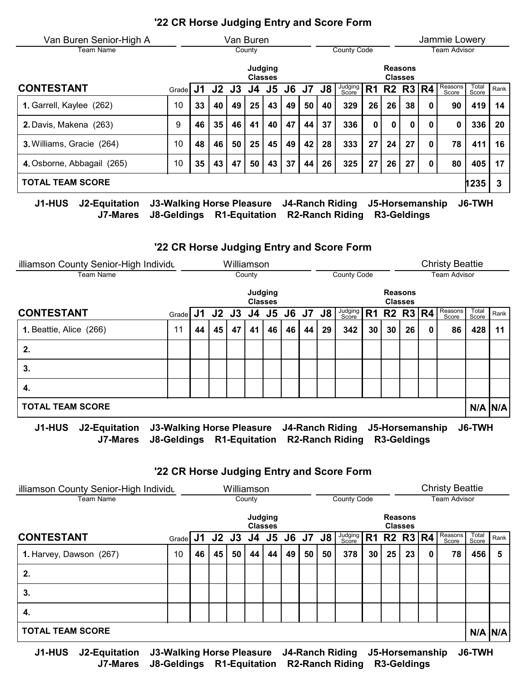| Van Buren Senior-High A    |       |           |          | Van Buren |         |                |    |                 |    |                    |                |    |                                  |   | Jammie Lowery    |                |      |
|----------------------------|-------|-----------|----------|-----------|---------|----------------|----|-----------------|----|--------------------|----------------|----|----------------------------------|---|------------------|----------------|------|
| Team Name                  |       |           |          |           | County  |                |    |                 |    | <b>County Code</b> |                |    |                                  |   | Team Advisor     |                |      |
|                            |       |           |          |           | Judging | <b>Classes</b> |    |                 |    |                    |                |    | <b>Reasons</b><br><b>Classes</b> |   |                  |                |      |
| <b>CONTESTANT</b>          | Grade | <b>J1</b> | J2 J3 J4 |           |         | J <sub>5</sub> |    | <b>J6 J7 J8</b> |    | Judging<br>Score   | R <sub>1</sub> |    | $R2$ $R3$ $R4$                   |   | Reasons<br>Score | Total<br>Score | Rank |
| 1. Garrell, Kaylee (262)   | 10    | 33        | 40       | 49        | 25      | 43             | 49 | 50              | 40 | 329                | 26             | 26 | 38                               | 0 | 90               | 419            | 14   |
| 2. Davis, Makena (263)     | 9     | 46        | 35       | 46        | 41      | 40             | 47 | 44              | 37 | 336                | $\mathbf 0$    | 0  | 0                                |   | 0                | 336            | 20   |
| 3. Williams, Gracie (264)  | 10    | 48        | 46       | 50        | 25      | 45             | 49 | 42              | 28 | 333                | 27             | 24 | 27                               |   | 78               | 411            | 16   |
| 4. Osborne, Abbagail (265) | 10    | 35        | 43       | 47        | 50      | 43             | 37 | 44              | 26 | 325                | 27             | 26 | 27                               |   | 80               | 405            | 17   |
| <b>TOTAL TEAM SCORE</b>    |       |           |          |           |         |                |    |                 |    |                    |                |    |                                  |   |                  | 1235           | 3    |

J7-Mares J8-Geldings R1-Equitation R2-Ranch Riding R3-Geldings

J1-HUS J2-Equitation J3-Walking Horse Pleasure J4-Ranch Riding J5-Horsemanship J6-TWH

## '22 CR Horse Judging Entry and Score Form

| illiamson County Senior-High Individu |                                           |    |             | Williamson |         |                |    |                 |    |                  |    |    |                                  |   | <b>Christy Beattie</b> |                |      |
|---------------------------------------|-------------------------------------------|----|-------------|------------|---------|----------------|----|-----------------|----|------------------|----|----|----------------------------------|---|------------------------|----------------|------|
| Team Name                             |                                           |    |             |            | County  |                |    |                 |    | County Code      |    |    |                                  |   | Team Advisor           |                |      |
|                                       |                                           |    |             |            | Judging | <b>Classes</b> |    |                 |    |                  |    |    | <b>Reasons</b><br><b>Classes</b> |   |                        |                |      |
| <b>CONTESTANT</b>                     | Grade $J1$                                |    | J2 J3 J4 J5 |            |         |                |    | <b>J6 J7 J8</b> |    | Judging<br>Score |    |    | R1 R2 R3 R4                      |   | Reasons<br>Score       | Total<br>Score | Rank |
| 1. Beattie, Alice (266)               | 11                                        | 44 | 45          | 47         | 41      | 46             | 46 | 44              | 29 | 342              | 30 | 30 | 26                               | 0 | 86                     | 428            | 11   |
| 2.                                    |                                           |    |             |            |         |                |    |                 |    |                  |    |    |                                  |   |                        |                |      |
| 3.                                    |                                           |    |             |            |         |                |    |                 |    |                  |    |    |                                  |   |                        |                |      |
| 4.                                    |                                           |    |             |            |         |                |    |                 |    |                  |    |    |                                  |   |                        |                |      |
| <b>TOTAL TEAM SCORE</b>               |                                           |    |             |            |         |                |    |                 |    |                  |    |    |                                  |   |                        | $N/A$ $N/A$    |      |
| J1-HUS<br>J2-Equitation               | J3-Walking Horse Pleasure J4-Ranch Riding |    |             |            |         |                |    |                 |    |                  |    |    | J5-Horsemanship                  |   |                        | J6-TWH         |      |

J7-Mares J8-Geldings R1-Equitation R2-Ranch Riding R3-Geldings

## '22 CR Horse Judging Entry and Score Form

| illiamson County Senior-High Individu | Williamson                    |    |    |    |    |    |    |                    |    |         |    |                                  |                     | <b>Christy Beattie</b> |                  |                |             |
|---------------------------------------|-------------------------------|----|----|----|----|----|----|--------------------|----|---------|----|----------------------------------|---------------------|------------------------|------------------|----------------|-------------|
| Team Name                             | County                        |    |    |    |    |    |    | <b>County Code</b> |    |         |    |                                  | <b>Team Advisor</b> |                        |                  |                |             |
|                                       | Judging<br><b>Classes</b>     |    |    |    |    |    |    |                    |    |         |    | <b>Reasons</b><br><b>Classes</b> |                     |                        |                  |                |             |
| <b>CONTESTANT</b>                     | Grade J1 J2 J3 J4 J5 J6 J7 J8 |    |    |    |    |    |    |                    |    | Judging |    |                                  | R1 R2 R3 $ R4 $     |                        | Reasons<br>Score | Total<br>Score | Rank        |
| 1. Harvey, Dawson (267)               | 10                            | 46 | 45 | 50 | 44 | 44 | 49 | 50                 | 50 | 378     | 30 | 25                               | 23                  | 0                      | 78               | 456            | 5           |
| 2.                                    |                               |    |    |    |    |    |    |                    |    |         |    |                                  |                     |                        |                  |                |             |
| 3.                                    |                               |    |    |    |    |    |    |                    |    |         |    |                                  |                     |                        |                  |                |             |
| 4.                                    |                               |    |    |    |    |    |    |                    |    |         |    |                                  |                     |                        |                  |                |             |
| <b>TOTAL TEAM SCORE</b>               |                               |    |    |    |    |    |    |                    |    |         |    |                                  |                     |                        |                  |                | $N/A$ $N/A$ |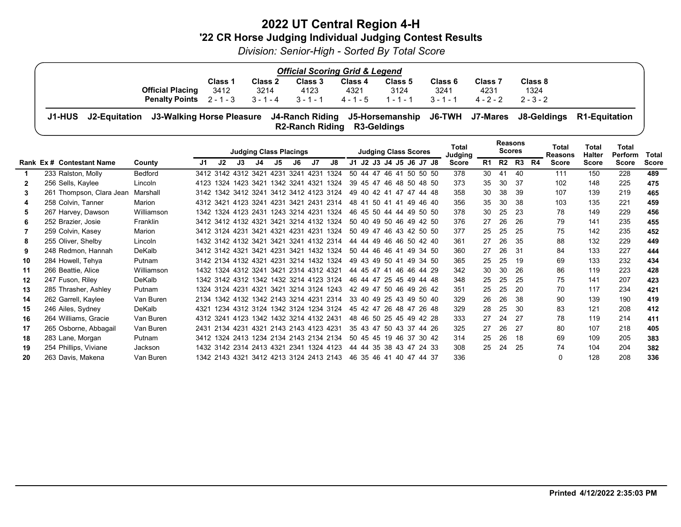# 2022 UT Central Region 4-H '22 CR Horse Judging Individual Judging Contest Results

Division: Senior-High - Sorted By Total Score

| <b>Official Scoring Grid &amp; Legend</b>                                                                                |         |                |                                   |         |         |             |                    |             |  |  |  |  |  |
|--------------------------------------------------------------------------------------------------------------------------|---------|----------------|-----------------------------------|---------|---------|-------------|--------------------|-------------|--|--|--|--|--|
|                                                                                                                          | Class 1 | <b>Class 2</b> | <b>Class 3</b>                    | Class 4 | Class 5 | Class 6     | Class <sub>7</sub> | Class 8     |  |  |  |  |  |
| <b>Official Placing</b>                                                                                                  | 3412    | 3214           | 4123                              | 4321    | 3124    | 3241        | 4231               | 1324        |  |  |  |  |  |
| <b>Penalty Points</b> $2 - 1 - 3$ $3 - 1 - 4$                                                                            |         |                | 3 - 1 - 1 - 4 - 1 - 5 - 1 - 1 - 1 |         |         | $3 - 1 - 1$ | $4 - 2 - 2$        | $2 - 3 - 2$ |  |  |  |  |  |
| J1-HUS J2-Equitation J3-Walking Horse Pleasure J4-Ranch Riding J5-Horsemanship J6-TWH J7-Mares J8-Geldings R1-Equitation |         |                | R2-Ranch Riding R3-Geldings       |         |         |             |                    |             |  |  |  |  |  |
|                                                                                                                          |         |                |                                   |         |         |             | <b>Reasons</b>     |             |  |  |  |  |  |

|              |                           |            | <b>Judging Class Placings</b> |                                    |    |    | <b>Judging Class Scores</b> |    |                                         |                                         | <b>Total</b><br>Judging | <b>Reasons</b><br><b>Scores</b> |    |            |    | Total<br><b>Reasons</b> | Total<br>Halter | Total<br>Perform | Total        |     |    |              |              |              |              |
|--------------|---------------------------|------------|-------------------------------|------------------------------------|----|----|-----------------------------|----|-----------------------------------------|-----------------------------------------|-------------------------|---------------------------------|----|------------|----|-------------------------|-----------------|------------------|--------------|-----|----|--------------|--------------|--------------|--------------|
|              | Rank Ex # Contestant Name | County     | J1                            | J2                                 | J3 | J4 | J5                          | J6 | J7                                      | J8                                      |                         |                                 |    |            |    | J1 J2 J3 J4 J5 J6 J7 J8 | <b>Score</b>    | R1               | <b>R2</b> R3 |     | R4 | <b>Score</b> | <b>Score</b> | <b>Score</b> | <b>Score</b> |
|              | 233 Ralston, Molly        | Bedford    |                               | 3412 3142 4312 3421 4231 3241 4231 |    |    |                             |    |                                         | 1324                                    |                         |                                 |    |            |    | 50 44 47 46 41 50 50 50 | 378             | 30               | 41           | 40  |    | 111          | 150          | 228          | 489          |
| $\mathbf{2}$ | 256 Sells, Kaylee         | Lincoln    | 4123                          | 1324 1423 3421                     |    |    |                             |    | 1342 3241 4321 1324                     |                                         |                         | 39 45 47                        |    | 46         |    | 48 50 48 50             | 373             | 35               | 30           | 37  |    | 102          | 148          | 225          | 475          |
| 3            | 261 Thompson, Clara Jean  | Marshall   |                               |                                    |    |    |                             |    | 3142 1342 3412 3241 3412 3412 4123 3124 |                                         |                         | 49 40 42 41                     |    | -47        |    | 47 44 48                | 358             | 30               | 38           | 39  |    | 107          | 139          | 219          | 465          |
| 4            | 258 Colvin, Tanner        | Marion     |                               | 4312 3421 4123 3241                |    |    |                             |    | 4231 3421 2431 2314                     |                                         | 48                      | -41                             | 50 | -41<br>-41 | 49 | 46.40                   | 356             | 35               | 30           | 38  |    | 103          | 135          | 221          | 459          |
| 5.           | 267 Harvey, Dawson        | Williamson |                               |                                    |    |    |                             |    | 1342 1324 4123 2431 1243 3214 4231 1324 |                                         |                         |                                 |    |            |    | 46 45 50 44 44 49 50 50 | 378             | 30               | 25           | 23  |    | 78           | 149          | 229          | 456          |
| 6            | 252 Brazier, Josie        | Franklin   |                               |                                    |    |    |                             |    | 3412 3412 4132 4321 3421 3214 4132 1324 |                                         |                         |                                 |    |            |    | 50 40 49 50 46 49 42 50 | 376             | 27               | 26           | 26  |    | 79           | 141          | 235          | 455          |
|              | 259 Colvin, Kasey         | Marion     |                               |                                    |    |    |                             |    | 3412 3124 4231 3421 4321 4231 4231 1324 |                                         |                         |                                 |    |            |    | 50 49 47 46 43 42 50 50 | 377             | 25               | 25           | 25  |    | 75           | 142          | 235          | 452          |
| 8            | 255 Oliver, Shelby        | Lincoln    |                               |                                    |    |    |                             |    | 1432 3142 4132 3421 3421 3241 4132 2314 |                                         |                         |                                 |    |            |    | 44 44 49 46 46 50 42 40 | 361             | 27               | 26           | 35  |    | 88           | 132          | 229          | 449          |
| 9            | 248 Redmon, Hannah        | DeKalb     |                               |                                    |    |    |                             |    | 3412 3142 4321 3421 4231 3421 1432 1324 |                                         |                         |                                 |    |            |    | 50 44 46 46 41 49 34 50 | 360             | 27               | 26           | .31 |    | 84           | 133          | 227          | 444          |
| 10           | 284 Howell, Tehya         | Putnam     |                               |                                    |    |    |                             |    | 3142 2134 4132 4321 4231 3214 1432 1324 |                                         |                         | 49 43 49 50 41                  |    |            |    | 49 34 50                | 365             | 25               | 25           | 19  |    | 69           | 133          | 232          | 434          |
| 11           | 266 Beattie, Alice        | Williamson |                               |                                    |    |    |                             |    | 1432 1324 4312 3241 3421 2314 4312 4321 |                                         |                         | 44 45 47 41 46                  |    |            |    | 46 44 29                | 342             | 30               | 30           | 26  |    | 86           | 119          | 223          | 428          |
| 12           | 247 Fuson, Riley          | DeKalb     |                               |                                    |    |    |                             |    | 1342 3142 4312 1342 1432 3214 4123 3124 |                                         |                         | 46 44 47                        |    | 25 45      |    | 49 44 48                | 348             | 25               | 25           | 25  |    | 75           | 141          | 207          | 423          |
| 13           | 285 Thrasher, Ashley      | Putnam     |                               |                                    |    |    |                             |    | 1324 3124 4231 4321 3421 3214 3124 1243 |                                         |                         |                                 |    |            |    | 42 49 47 50 46 49 26 42 | 351             | 25               | 25           | 20  |    | 70           | 117          | 234          | 421          |
| 14           | 262 Garrell, Kaylee       | Van Buren  |                               |                                    |    |    |                             |    | 2134 1342 4132 1342 2143 3214 4231 2314 |                                         |                         |                                 |    |            |    | 33 40 49 25 43 49 50 40 | 329             | 26               | 26           | 38  |    | 90           | 139          | 190          | 419          |
| 15           | 246 Ailes, Sydney         | DeKalb     | 4321                          |                                    |    |    |                             |    | 1234 4312 3124 1342 3124 1234 3124      |                                         |                         |                                 |    |            |    | 45 42 47 26 48 47 26 48 | 329             | 28               | 25           | 30  |    | 83           | 121          | 208          | 412          |
| 16           | 264 Williams, Gracie      | Van Buren  |                               |                                    |    |    |                             |    | 4312 3241 4123 1342 1432 3214 4132 2431 |                                         |                         |                                 |    |            |    | 48 46 50 25 45 49 42 28 | 333             | 27               | 24           | 27  |    | 78           | 119          | 214          | 411          |
| 17           | 265 Osborne, Abbagail     | Van Buren  |                               |                                    |    |    |                             |    | 2431 2134 4231 4321 2143 2143 4123 4231 |                                         |                         |                                 |    |            |    | 35 43 47 50 43 37 44 26 | 325             | 27               | 26           | 27  |    | 80           | 107          | 218          | 405          |
| 18           | 283 Lane, Morgan          | Putnam     |                               |                                    |    |    |                             |    | 3412 1324 2413 1234 2134 2143 2134 2134 |                                         |                         |                                 |    |            |    | 50 45 45 19 46 37 30 42 | 314             | 25               | 26           | 18  |    | 69           | 109          | 205          | 383          |
| 19           | 254 Phillips, Viviane     | Jackson    |                               |                                    |    |    |                             |    |                                         | 1432 3142 2314 2413 4321 2341 1324 4123 |                         |                                 |    |            |    | 44 44 35 38 43 47 24 33 | 308             | 25               | 24           | 25  |    | 74           | 104          | 204          | 382          |
| 20           | 263 Davis, Makena         | Van Buren  |                               |                                    |    |    |                             |    | 1342 2143 4321 3412 4213 3124 2413 2143 |                                         |                         | 46 35 46 41 40                  |    |            |    | 47 44 37                | 336             |                  |              |     |    | $\Omega$     | 128          | 208          | 336          |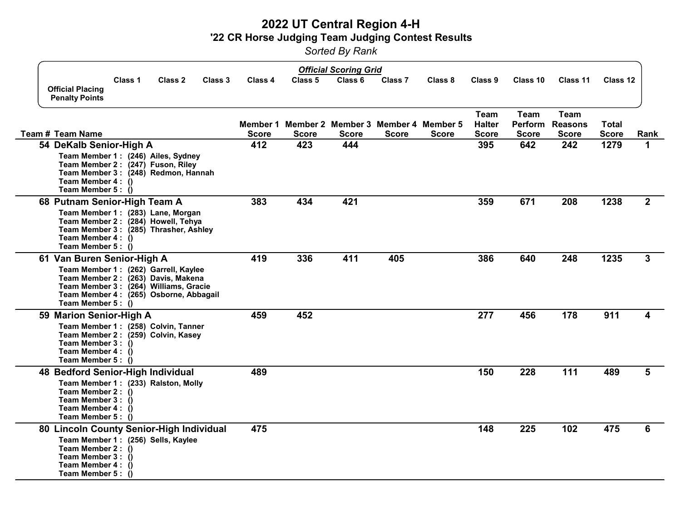# 2022 UT Central Region 4-H '22 CR Horse Judging Team Judging Contest Results

Sorted By Rank

|                                                                                                                                                                                                                   |              |              | <b>Official Scoring Grid</b>                                 |                    |              |                                       |                                               |                                               |                              |                |
|-------------------------------------------------------------------------------------------------------------------------------------------------------------------------------------------------------------------|--------------|--------------|--------------------------------------------------------------|--------------------|--------------|---------------------------------------|-----------------------------------------------|-----------------------------------------------|------------------------------|----------------|
| Class 1<br>Class 2<br>Class 3<br><b>Official Placing</b><br><b>Penalty Points</b>                                                                                                                                 | Class 4      | Class 5      | Class 6                                                      | Class <sub>7</sub> | Class 8      | Class 9                               | Class 10                                      | Class 11                                      | Class 12                     |                |
| Team # Team Name                                                                                                                                                                                                  | <b>Score</b> | <b>Score</b> | Member 1 Member 2 Member 3 Member 4 Member 5<br><b>Score</b> | <b>Score</b>       | <b>Score</b> | Team<br><b>Halter</b><br><b>Score</b> | <b>Team</b><br><b>Perform</b><br><b>Score</b> | <b>Team</b><br><b>Reasons</b><br><b>Score</b> | <b>Total</b><br><b>Score</b> | Rank           |
| 54 DeKalb Senior-High A<br>Team Member 1: (246) Ailes, Sydney<br>Team Member 2: (247) Fuson, Riley<br>Team Member 3: (248) Redmon, Hannah<br>Team Member 4 : ()<br>Team Member 5: ()                              | 412          | 423          | 444                                                          |                    |              | 395                                   | 642                                           | 242                                           | 1279                         | 1              |
| 68 Putnam Senior-High Team A<br>Team Member 1: (283) Lane, Morgan<br>Team Member 2: (284) Howell, Tehya<br>Team Member 3: (285) Thrasher, Ashley<br>Team Member 4: ()<br>Team Member 5 : $\ddot{()}$              | 383          | 434          | 421                                                          |                    |              | 359                                   | 671                                           | 208                                           | 1238                         | $\overline{2}$ |
| 61 Van Buren Senior-High A<br>Team Member 1: (262) Garrell, Kaylee<br>Team Member 2: (263) Davis, Makena<br>Team Member 3: (264) Williams, Gracie<br>Team Member 4: (265) Osborne, Abbagail<br>Team Member $5: ($ | 419          | 336          | 411                                                          | 405                |              | 386                                   | 640                                           | 248                                           | 1235                         | 3              |
| 59 Marion Senior-High A<br>Team Member 1: (258) Colvin, Tanner<br>Team Member 2: (259) Colvin, Kasey<br>Team Member 3 : ()<br>Team Member 4 : ()<br>Team Member 5 : ()                                            | 459          | 452          |                                                              |                    |              | 277                                   | 456                                           | 178                                           | 911                          | 4              |
| 48 Bedford Senior-High Individual<br>Team Member 1: (233) Ralston, Molly<br>Team Member 2 : ()<br>Team Member 3 : ()<br>Team Member 4 : ()<br>Team Member 5: ()                                                   | 489          |              |                                                              |                    |              | 150                                   | 228                                           | 111                                           | 489                          | 5              |
| 80 Lincoln County Senior-High Individual<br>Team Member 1: (256) Sells, Kaylee<br>Team Member 2 : ()<br>Team Member 3: ()<br>Team Member 4: ()<br>Team Member 5: ()                                               | 475          |              |                                                              |                    |              | 148                                   | 225                                           | 102                                           | 475                          | 6              |